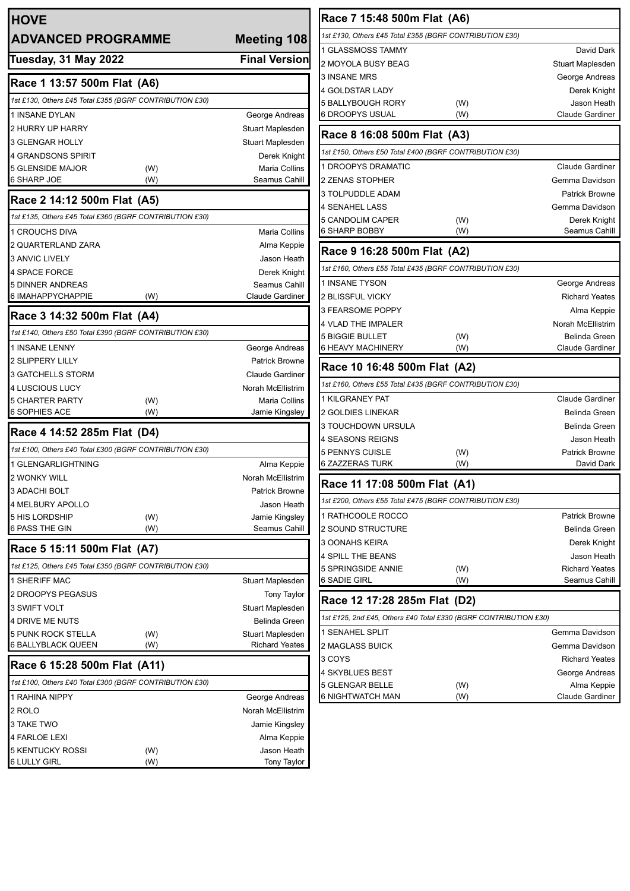| <b>HOVE</b>                                             |     |                                    | Race 7 15:48 500m Flat (A6)                                      |            |                                              |
|---------------------------------------------------------|-----|------------------------------------|------------------------------------------------------------------|------------|----------------------------------------------|
| <b>ADVANCED PROGRAMME</b>                               |     | <b>Meeting 108</b>                 | 1st £130, Others £45 Total £355 (BGRF CONTRIBUTION £30)          |            |                                              |
|                                                         |     |                                    | 1 GLASSMOSS TAMMY                                                |            | David Dark                                   |
| <b>Tuesday, 31 May 2022</b>                             |     | <b>Final Version</b>               | 2 MOYOLA BUSY BEAG                                               |            | Stuart Maplesden                             |
| Race 1 13:57 500m Flat (A6)                             |     |                                    | 3 INSANE MRS                                                     |            | George Andreas                               |
| 1st £130, Others £45 Total £355 (BGRF CONTRIBUTION £30) |     |                                    | 4 GOLDSTAR LADY                                                  |            | Derek Knight                                 |
|                                                         |     |                                    | <b>5 BALLYBOUGH RORY</b><br>6 DROOPYS USUAL                      | (W)<br>(W) | Jason Heath<br><b>Claude Gardiner</b>        |
| 1 INSANE DYLAN<br>2 HURRY UP HARRY                      |     | George Andreas<br>Stuart Maplesden |                                                                  |            |                                              |
| 3 GLENGAR HOLLY                                         |     | Stuart Maplesden                   | Race 8 16:08 500m Flat (A3)                                      |            |                                              |
| 4 GRANDSONS SPIRIT                                      |     | Derek Knight                       | 1st £150, Others £50 Total £400 (BGRF CONTRIBUTION £30)          |            |                                              |
| 5 GLENSIDE MAJOR<br>(W)                                 |     | Maria Collins                      | 1 DROOPYS DRAMATIC                                               |            | <b>Claude Gardiner</b>                       |
| <b>6 SHARP JOE</b><br>(W)                               |     | Seamus Cahill                      | 2 ZENAS STOPHER                                                  |            | Gemma Davidson                               |
| Race 2 14:12 500m Flat (A5)                             |     |                                    | 3 TOLPUDDLE ADAM                                                 |            | <b>Patrick Browne</b>                        |
|                                                         |     |                                    | <b>4 SENAHEL LASS</b>                                            |            | Gemma Davidson                               |
| 1st £135, Others £45 Total £360 (BGRF CONTRIBUTION £30) |     |                                    | 5 CANDOLIM CAPER                                                 | (W)        | Derek Knight                                 |
| <b>1 CROUCHS DIVA</b>                                   |     | <b>Maria Collins</b>               | 6 SHARP BOBBY                                                    | (W)        | Seamus Cahill                                |
| 2 QUARTERLAND ZARA                                      |     | Alma Keppie                        | Race 9 16:28 500m Flat (A2)                                      |            |                                              |
| 3 ANVIC LIVELY                                          |     | Jason Heath                        | 1st £160, Others £55 Total £435 (BGRF CONTRIBUTION £30)          |            |                                              |
| 4 SPACE FORCE<br><b>5 DINNER ANDREAS</b>                |     | Derek Knight<br>Seamus Cahill      | 1 INSANE TYSON                                                   |            | George Andreas                               |
| 6 IMAHAPPYCHAPPIE<br>(W)                                |     | Claude Gardiner                    | 2 BLISSFUL VICKY                                                 |            | <b>Richard Yeates</b>                        |
|                                                         |     |                                    | 3 FEARSOME POPPY                                                 |            | Alma Keppie                                  |
| Race 3 14:32 500m Flat (A4)                             |     |                                    | 4 VLAD THE IMPALER                                               |            | Norah McEllistrim                            |
| 1st £140, Others £50 Total £390 (BGRF CONTRIBUTION £30) |     |                                    | <b>5 BIGGIE BULLET</b>                                           | (W)        | <b>Belinda Green</b>                         |
| <b>1 INSANE LENNY</b>                                   |     | George Andreas                     | <b>6 HEAVY MACHINERY</b>                                         | (W)        | <b>Claude Gardiner</b>                       |
| 2 SLIPPERY LILLY                                        |     | <b>Patrick Browne</b>              | Race 10 16:48 500m Flat (A2)                                     |            |                                              |
| 3 GATCHELLS STORM                                       |     | <b>Claude Gardiner</b>             |                                                                  |            |                                              |
| 4 LUSCIOUS LUCY                                         |     | Norah McEllistrim                  | 1st £160, Others £55 Total £435 (BGRF CONTRIBUTION £30)          |            |                                              |
| <b>5 CHARTER PARTY</b><br>(W)<br><b>6 SOPHIES ACE</b>   | (W) | Maria Collins<br>Jamie Kingsley    | 1 KILGRANEY PAT<br>2 GOLDIES LINEKAR                             |            | <b>Claude Gardiner</b>                       |
|                                                         |     |                                    | 3 TOUCHDOWN URSULA                                               |            | <b>Belinda Green</b><br><b>Belinda Green</b> |
| Race 4 14:52 285m Flat (D4)                             |     |                                    | <b>4 SEASONS REIGNS</b>                                          |            | Jason Heath                                  |
| 1st £100, Others £40 Total £300 (BGRF CONTRIBUTION £30) |     |                                    | <b>5 PENNYS CUISLE</b>                                           | (W)        | <b>Patrick Browne</b>                        |
| 1 GLENGARLIGHTNING                                      |     | Alma Keppie                        | <b>6 ZAZZERAS TURK</b>                                           | (W)        | David Dark                                   |
| <b>2 WONKY WILL</b>                                     |     | Norah McEllistrim                  | Race 11 17:08 500m Flat (A1)                                     |            |                                              |
| 3 ADACHI BOLT                                           |     | Patrick Browne                     |                                                                  |            |                                              |
| <b>4 MELBURY APOLLO</b>                                 |     | Jason Heath                        | 1st £200, Others £55 Total £475 (BGRF CONTRIBUTION £30)          |            |                                              |
| <b>5 HIS LORDSHIP</b><br>(W)                            |     | Jamie Kingsley                     | 1 RATHCOOLE ROCCO                                                |            | <b>Patrick Browne</b>                        |
| 6 PASS THE GIN                                          | (W) | Seamus Cahill                      | 2 SOUND STRUCTURE                                                |            | <b>Belinda Green</b>                         |
| Race 5 15:11 500m Flat (A7)                             |     |                                    | 3 OONAHS KEIRA                                                   |            | Derek Knight<br>Jason Heath                  |
| 1st £125, Others £45 Total £350 (BGRF CONTRIBUTION £30) |     |                                    | 4 SPILL THE BEANS<br>5 SPRINGSIDE ANNIE                          | (W)        | <b>Richard Yeates</b>                        |
| 1 SHERIFF MAC                                           |     | Stuart Maplesden                   | <b>6 SADIE GIRL</b>                                              | (W)        | Seamus Cahill                                |
| 2 DROOPYS PEGASUS                                       |     | <b>Tony Taylor</b>                 |                                                                  |            |                                              |
| 3 SWIFT VOLT                                            |     | Stuart Maplesden                   | Race 12 17:28 285m Flat (D2)                                     |            |                                              |
| 4 DRIVE ME NUTS                                         |     | Belinda Green                      | 1st £125, 2nd £45, Others £40 Total £330 (BGRF CONTRIBUTION £30) |            |                                              |
| 5 PUNK ROCK STELLA<br>(W)                               |     | Stuart Maplesden                   | 1 SENAHEL SPLIT                                                  |            | Gemma Davidson                               |
| <b>6 BALLYBLACK QUEEN</b>                               | (W) | <b>Richard Yeates</b>              | 2 MAGLASS BUICK                                                  |            | Gemma Davidson                               |
| Race 6 15:28 500m Flat (A11)                            |     |                                    | 3 COYS                                                           |            | <b>Richard Yeates</b>                        |
| 1st £100, Others £40 Total £300 (BGRF CONTRIBUTION £30) |     |                                    | 4 SKYBLUES BEST                                                  |            | George Andreas                               |
| 1 RAHINA NIPPY                                          |     | George Andreas                     | <b>5 GLENGAR BELLE</b><br><b>6 NIGHTWATCH MAN</b>                | (W)<br>(W) | Alma Keppie<br><b>Claude Gardiner</b>        |
| 2 ROLO                                                  |     | Norah McEllistrim                  |                                                                  |            |                                              |
| 3 TAKE TWO                                              |     | Jamie Kingsley                     |                                                                  |            |                                              |
| 4 FARLOE LEXI                                           |     | Alma Keppie                        |                                                                  |            |                                              |
| <b>5 KENTUCKY ROSSI</b><br>(W)                          |     | Jason Heath                        |                                                                  |            |                                              |
| <b>6 LULLY GIRL</b><br>(W)                              |     | Tony Taylor                        |                                                                  |            |                                              |
|                                                         |     |                                    |                                                                  |            |                                              |